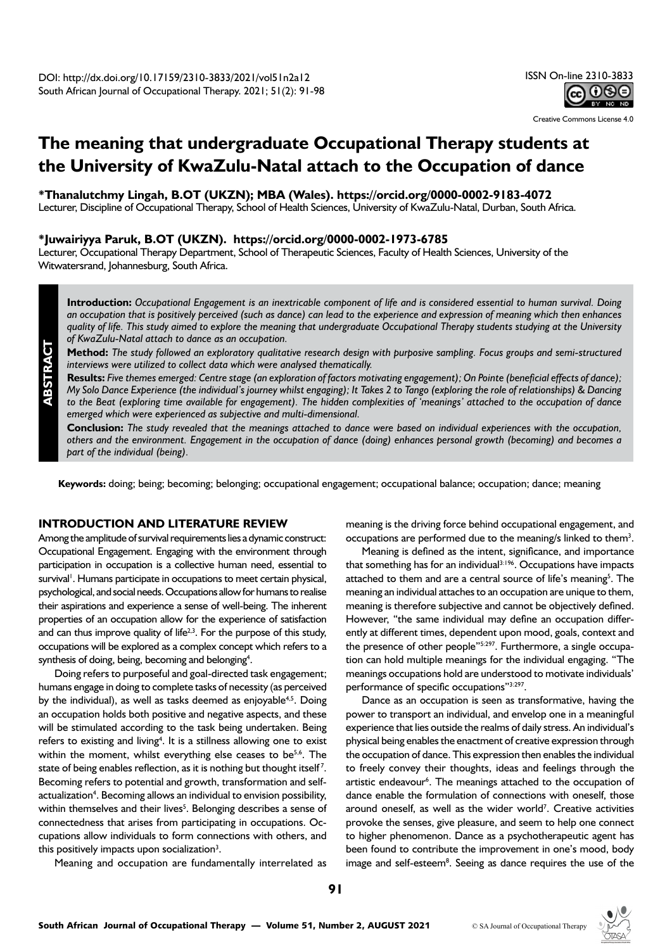Creative Commons License 4.0

# **The meaning that undergraduate Occupational Therapy students at the University of KwaZulu-Natal attach to the Occupation of dance**

**\*Thanalutchmy Lingah, B.OT (UKZN); MBA (Wales). https://orcid.org/0000-0002-9183-4072**

Lecturer, Discipline of Occupational Therapy, School of Health Sciences, University of KwaZulu-Natal, Durban, South Africa.

# **\*Juwairiyya Paruk, B.OT (UKZN). https://orcid.org/0000-0002-1973-6785**

Lecturer, Occupational Therapy Department, School of Therapeutic Sciences, Faculty of Health Sciences, University of the Witwatersrand, Johannesburg, South Africa.

**Introduction:** *Occupational Engagement is an inextricable component of life and is considered essential to human survival. Doing an occupation that is positively perceived (such as dance) can lead to the experience and expression of meaning which then enhances quality of life. This study aimed to explore the meaning that undergraduate Occupational Therapy students studying at the University of KwaZulu-Natal attach to dance as an occupation.* 

**Method:** *The study followed an exploratory qualitative research design with purposive sampling. Focus groups and semi-structured interviews were utilized to collect data which were analysed thematically.* 

**Results:** *Five themes emerged: Centre stage (an exploration of factors motivating engagement); On Pointe (beneficial effects of dance); My Solo Dance Experience (the individual's journey whilst engaging); It Takes 2 to Tango (exploring the role of relationships) & Dancing to the Beat (exploring time available for engagement). The hidden complexities of 'meanings' attached to the occupation of dance emerged which were experienced as subjective and multi-dimensional.* 

**Conclusion:** *The study revealed that the meanings attached to dance were based on individual experiences with the occupation, others and the environment. Engagement in the occupation of dance (doing) enhances personal growth (becoming) and becomes a part of the individual (being).*

**Keywords:** doing; being; becoming; belonging; occupational engagement; occupational balance; occupation; dance; meaning

# **INTRODUCTION AND LITERATURE REVIEW**

**ABSTRACT**

Among the amplitude of survival requirements lies a dynamic construct: Occupational Engagement. Engaging with the environment through participation in occupation is a collective human need, essential to survival<sup>1</sup>. Humans participate in occupations to meet certain physical, psychological, and social needs. Occupations allow for humans to realise their aspirations and experience a sense of well-being. The inherent properties of an occupation allow for the experience of satisfaction and can thus improve quality of life<sup> $2,3$ </sup>. For the purpose of this study, occupations will be explored as a complex concept which refers to a synthesis of doing, being, becoming and belonging<sup>4</sup>.

Doing refers to purposeful and goal-directed task engagement; humans engage in doing to complete tasks of necessity (as perceived by the individual), as well as tasks deemed as enjoyable<sup>4,5</sup>. Doing an occupation holds both positive and negative aspects, and these will be stimulated according to the task being undertaken. Being refers to existing and living<sup>4</sup>. It is a stillness allowing one to exist within the moment, whilst everything else ceases to be<sup>5,6</sup>. The state of being enables reflection, as it is nothing but thought itself<sup>7</sup>. Becoming refers to potential and growth, transformation and selfactualization<sup>4</sup>. Becoming allows an individual to envision possibility, within themselves and their lives<sup>5</sup>. Belonging describes a sense of connectedness that arises from participating in occupations. Occupations allow individuals to form connections with others, and this positively impacts upon socialization $3$ .

Meaning and occupation are fundamentally interrelated as

meaning is the driving force behind occupational engagement, and occupations are performed due to the meaning/s linked to them<sup>3</sup>.

Meaning is defined as the intent, significance, and importance that something has for an individual $3:196$ . Occupations have impacts attached to them and are a central source of life's meaning<sup>5</sup>. The meaning an individual attaches to an occupation are unique to them, meaning is therefore subjective and cannot be objectively defined. However, "the same individual may define an occupation differently at different times, dependent upon mood, goals, context and the presence of other people"<sup>5:297</sup>. Furthermore, a single occupation can hold multiple meanings for the individual engaging. "The meanings occupations hold are understood to motivate individuals' performance of specific occupations"3:297.

Dance as an occupation is seen as transformative, having the power to transport an individual, and envelop one in a meaningful experience that lies outside the realms of daily stress. An individual's physical being enables the enactment of creative expression through the occupation of dance. This expression then enables the individual to freely convey their thoughts, ideas and feelings through the artistic endeavour<sup>6</sup>. The meanings attached to the occupation of dance enable the formulation of connections with oneself, those around oneself, as well as the wider world<sup>7</sup>. Creative activities provoke the senses, give pleasure, and seem to help one connect to higher phenomenon. Dance as a psychotherapeutic agent has been found to contribute the improvement in one's mood, body image and self-esteem<sup>8</sup>. Seeing as dance requires the use of the

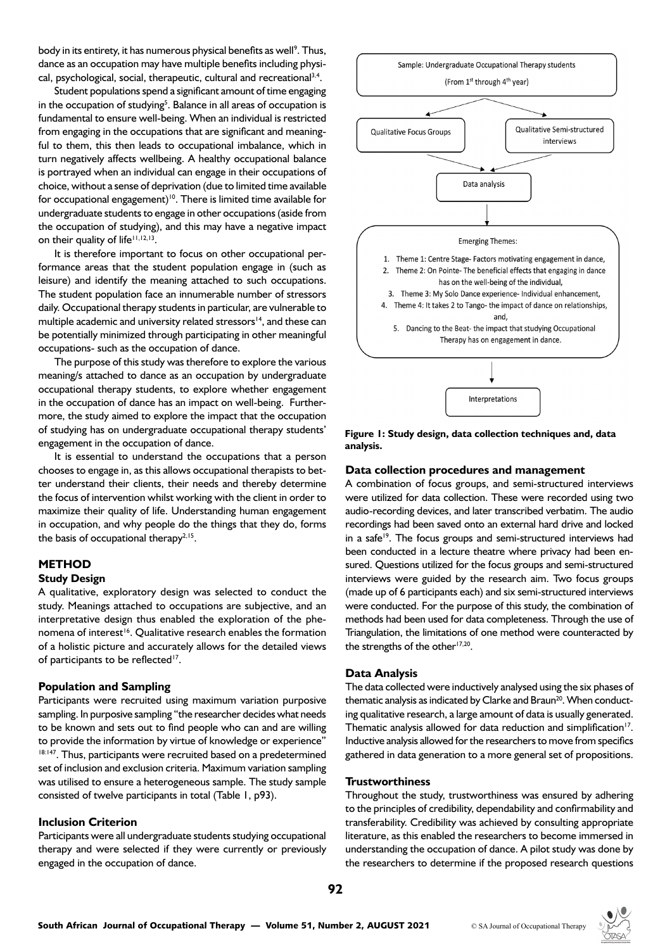body in its entirety, it has numerous physical benefits as well<sup>9</sup>. Thus, dance as an occupation may have multiple benefits including physical, psychological, social, therapeutic, cultural and recreational<sup>3,4</sup>.

Student populations spend a significant amount of time engaging in the occupation of studying<sup>5</sup>. Balance in all areas of occupation is fundamental to ensure well-being. When an individual is restricted from engaging in the occupations that are significant and meaningful to them, this then leads to occupational imbalance, which in turn negatively affects wellbeing. A healthy occupational balance is portrayed when an individual can engage in their occupations of choice, without a sense of deprivation (due to limited time available for occupational engagement)<sup>10</sup>. There is limited time available for undergraduate students to engage in other occupations (aside from the occupation of studying), and this may have a negative impact on their quality of life<sup>11,12,13</sup>.

It is therefore important to focus on other occupational performance areas that the student population engage in (such as leisure) and identify the meaning attached to such occupations. The student population face an innumerable number of stressors daily. Occupational therapy students in particular, are vulnerable to multiple academic and university related stressors<sup>14</sup>, and these can be potentially minimized through participating in other meaningful occupations- such as the occupation of dance.

The purpose of this study was therefore to explore the various meaning/s attached to dance as an occupation by undergraduate occupational therapy students, to explore whether engagement in the occupation of dance has an impact on well-being. Furthermore, the study aimed to explore the impact that the occupation of studying has on undergraduate occupational therapy students' engagement in the occupation of dance.

It is essential to understand the occupations that a person chooses to engage in, as this allows occupational therapists to better understand their clients, their needs and thereby determine the focus of intervention whilst working with the client in order to maximize their quality of life. Understanding human engagement in occupation, and why people do the things that they do, forms the basis of occupational therapy $^{2,15}$ .

# **METHOD**

# **Study Design**

A qualitative, exploratory design was selected to conduct the study. Meanings attached to occupations are subjective, and an interpretative design thus enabled the exploration of the phenomena of interest<sup>16</sup>. Qualitative research enables the formation of a holistic picture and accurately allows for the detailed views of participants to be reflected<sup>17</sup>.

#### **Population and Sampling**

Participants were recruited using maximum variation purposive sampling. In purposive sampling "the researcher decides what needs to be known and sets out to find people who can and are willing to provide the information by virtue of knowledge or experience" 18:147. Thus, participants were recruited based on a predetermined set of inclusion and exclusion criteria. Maximum variation sampling was utilised to ensure a heterogeneous sample. The study sample consisted of twelve participants in total (Table 1, p93).

## **Inclusion Criterion**

Participants were all undergraduate students studying occupational therapy and were selected if they were currently or previously engaged in the occupation of dance.



**Figure 1: Study design, data collection techniques and, data analysis.** 

#### **Data collection procedures and management**

A combination of focus groups, and semi-structured interviews were utilized for data collection. These were recorded using two audio-recording devices, and later transcribed verbatim. The audio recordings had been saved onto an external hard drive and locked in a safe<sup>19</sup>. The focus groups and semi-structured interviews had been conducted in a lecture theatre where privacy had been ensured. Questions utilized for the focus groups and semi-structured interviews were guided by the research aim. Two focus groups (made up of 6 participants each) and six semi-structured interviews were conducted. For the purpose of this study, the combination of methods had been used for data completeness. Through the use of Triangulation, the limitations of one method were counteracted by the strengths of the other $17,20$ .

## **Data Analysis**

The data collected were inductively analysed using the six phases of thematic analysis as indicated by Clarke and Braun<sup>20</sup>. When conducting qualitative research, a large amount of data is usually generated. Thematic analysis allowed for data reduction and simplification<sup>17</sup>. Inductive analysis allowed for the researchers to move from specifics gathered in data generation to a more general set of propositions.

#### **Trustworthiness**

Throughout the study, trustworthiness was ensured by adhering to the principles of credibility, dependability and confirmability and transferability. Credibility was achieved by consulting appropriate literature, as this enabled the researchers to become immersed in understanding the occupation of dance. A pilot study was done by the researchers to determine if the proposed research questions

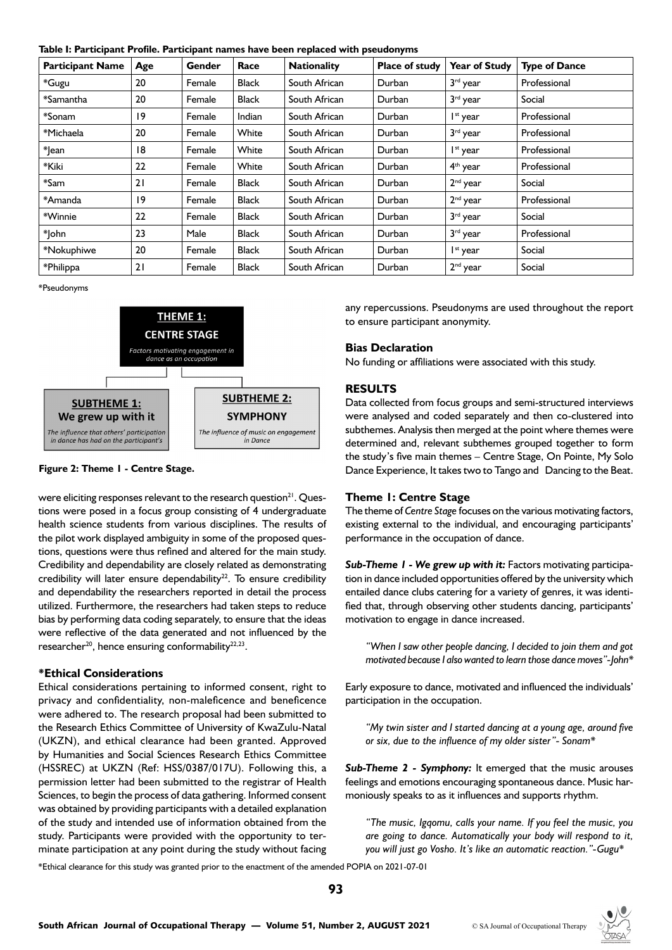**Table I: Participant Profile. Participant names have been replaced with pseudonyms**

| <b>Participant Name</b> | Age | Gender | Race         | <b>Nationality</b> | <b>Place of study</b> | <b>Year of Study</b> | <b>Type of Dance</b> |
|-------------------------|-----|--------|--------------|--------------------|-----------------------|----------------------|----------------------|
| *Gugu                   | 20  | Female | <b>Black</b> | South African      | Durban                | 3rd year             | Professional         |
| *Samantha               | 20  | Female | <b>Black</b> | South African      | Durban                | 3rd year             | Social               |
| *Sonam                  | 19  | Female | Indian       | South African      | Durban                | I <sup>st</sup> year | Professional         |
| *Michaela               | 20  | Female | White        | South African      | Durban                | 3rd year             | Professional         |
| * ean                   | 18  | Female | White        | South African      | Durban                | I <sup>st</sup> year | Professional         |
| *Kiki                   | 22  | Female | White        | South African      | Durban                | 4 <sup>th</sup> year | Professional         |
| $*$ Sam                 | 21  | Female | <b>Black</b> | South African      | Durban                | $2nd$ year           | Social               |
| *Amanda                 | 19  | Female | <b>Black</b> | South African      | Durban                | $2nd$ year           | Professional         |
| *Winnie                 | 22  | Female | <b>Black</b> | South African      | Durban                | 3rd year             | Social               |
| *lohn                   | 23  | Male   | <b>Black</b> | South African      | Durban                | 3rd year             | Professional         |
| *Nokuphiwe              | 20  | Female | <b>Black</b> | South African      | Durban                | I <sup>st</sup> year | Social               |
| *Philippa               | 21  | Female | <b>Black</b> | South African      | Durban                | $2nd$ year           | Social               |

\*Pseudonyms



# **Figure 2: Theme 1 - Centre Stage.**

were eliciting responses relevant to the research question<sup>21</sup>. Questions were posed in a focus group consisting of 4 undergraduate health science students from various disciplines. The results of the pilot work displayed ambiguity in some of the proposed questions, questions were thus refined and altered for the main study. Credibility and dependability are closely related as demonstrating credibility will later ensure dependability<sup>22</sup>. To ensure credibility and dependability the researchers reported in detail the process utilized. Furthermore, the researchers had taken steps to reduce bias by performing data coding separately, to ensure that the ideas were reflective of the data generated and not influenced by the researcher<sup>20</sup>, hence ensuring conformability<sup>22,23</sup>.

## **\*Ethical Considerations**

Ethical considerations pertaining to informed consent, right to privacy and confidentiality, non-maleficence and beneficence were adhered to. The research proposal had been submitted to the Research Ethics Committee of University of KwaZulu-Natal (UKZN), and ethical clearance had been granted. Approved by Humanities and Social Sciences Research Ethics Committee (HSSREC) at UKZN (Ref: HSS/0387/017U). Following this, a permission letter had been submitted to the registrar of Health Sciences, to begin the process of data gathering. Informed consent was obtained by providing participants with a detailed explanation of the study and intended use of information obtained from the study. Participants were provided with the opportunity to terminate participation at any point during the study without facing any repercussions. Pseudonyms are used throughout the report to ensure participant anonymity.

## **Bias Declaration**

No funding or affiliations were associated with this study.

# **RESULTS**

Data collected from focus groups and semi-structured interviews were analysed and coded separately and then co-clustered into subthemes. Analysis then merged at the point where themes were determined and, relevant subthemes grouped together to form the study's five main themes – Centre Stage, On Pointe, My Solo Dance Experience, It takes two to Tango and Dancing to the Beat.

## **Theme 1: Centre Stage**

The theme of *Centre Stage* focuses on the various motivating factors, existing external to the individual, and encouraging participants' performance in the occupation of dance.

*Sub-Theme 1 - We grew up with it:* Factors motivating participation in dance included opportunities offered by the university which entailed dance clubs catering for a variety of genres, it was identified that, through observing other students dancing, participants' motivation to engage in dance increased.

*"When I saw other people dancing, I decided to join them and got motivated because I also wanted to learn those dance moves"-John\**

Early exposure to dance, motivated and influenced the individuals' participation in the occupation.

*"My twin sister and I started dancing at a young age, around five or six, due to the influence of my older sister"- Sonam\**

*Sub-Theme 2 - Symphony:* It emerged that the music arouses feelings and emotions encouraging spontaneous dance. Music harmoniously speaks to as it influences and supports rhythm.

*"The music, Igqomu, calls your name. If you feel the music, you are going to dance. Automatically your body will respond to it, you will just go Vosho. It's like an automatic reaction."-Gugu\**

\*Ethical clearance for this study was granted prior to the enactment of the amended POPIA on 2021-07-01

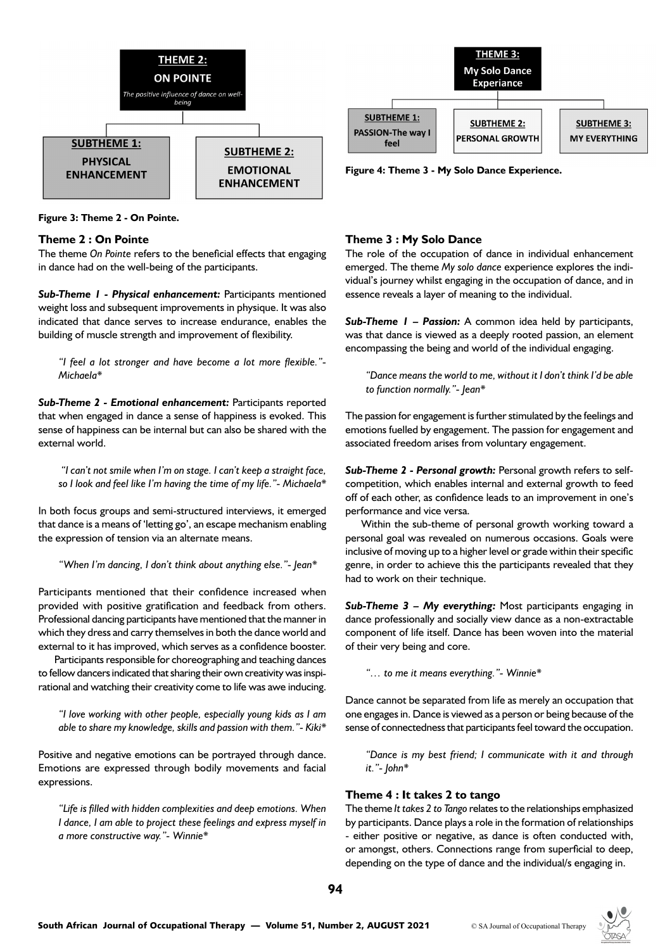

**Figure 3: Theme 2 - On Pointe.**

# **Theme 2 : On Pointe**

The theme *On Pointe* refers to the beneficial effects that engaging in dance had on the well-being of the participants.

*Sub-Theme 1 - Physical enhancement:* Participants mentioned weight loss and subsequent improvements in physique. It was also indicated that dance serves to increase endurance, enables the building of muscle strength and improvement of flexibility.

*"I feel a lot stronger and have become a lot more flexible."- Michaela\**

*Sub-Theme 2 - Emotional enhancement:* Participants reported that when engaged in dance a sense of happiness is evoked. This sense of happiness can be internal but can also be shared with the external world.

 *"I can't not smile when I'm on stage. I can't keep a straight face, so I look and feel like I'm having the time of my life."- Michaela\**

In both focus groups and semi-structured interviews, it emerged that dance is a means of 'letting go', an escape mechanism enabling the expression of tension via an alternate means.

*"When I'm dancing, I don't think about anything else."- Jean\**

Participants mentioned that their confidence increased when provided with positive gratification and feedback from others. Professional dancing participants have mentioned that the manner in which they dress and carry themselves in both the dance world and external to it has improved, which serves as a confidence booster.

Participants responsible for choreographing and teaching dances to fellow dancers indicated that sharing their own creativity was inspirational and watching their creativity come to life was awe inducing.

*"I love working with other people, especially young kids as I am able to share my knowledge, skills and passion with them."- Kiki\**

Positive and negative emotions can be portrayed through dance. Emotions are expressed through bodily movements and facial expressions.

*"Life is filled with hidden complexities and deep emotions. When I dance, I am able to project these feelings and express myself in a more constructive way."- Winnie\**



**Figure 4: Theme 3 - My Solo Dance Experience.**

# **Theme 3 : My Solo Dance**

The role of the occupation of dance in individual enhancement emerged. The theme *My solo dance* experience explores the individual's journey whilst engaging in the occupation of dance, and in essence reveals a layer of meaning to the individual.

*Sub-Theme 1 – Passion:* A common idea held by participants, was that dance is viewed as a deeply rooted passion, an element encompassing the being and world of the individual engaging.

*"Dance means the world to me, without it I don't think I'd be able to function normally."- Jean\**

The passion for engagement is further stimulated by the feelings and emotions fuelled by engagement. The passion for engagement and associated freedom arises from voluntary engagement.

*Sub-Theme 2 - Personal growth:* Personal growth refers to selfcompetition, which enables internal and external growth to feed off of each other, as confidence leads to an improvement in one's performance and vice versa.

Within the sub-theme of personal growth working toward a personal goal was revealed on numerous occasions. Goals were inclusive of moving up to a higher level or grade within their specific genre, in order to achieve this the participants revealed that they had to work on their technique.

*Sub-Theme 3 – My everything:* Most participants engaging in dance professionally and socially view dance as a non-extractable component of life itself. Dance has been woven into the material of their very being and core.

*"… to me it means everything."- Winnie\**

Dance cannot be separated from life as merely an occupation that one engages in. Dance is viewed as a person or being because of the sense of connectedness that participants feel toward the occupation.

*"Dance is my best friend; I communicate with it and through it."- John\**

# **Theme 4 : It takes 2 to tango**

The theme *It takes 2 to Tango* relates to the relationships emphasized by participants. Dance plays a role in the formation of relationships - either positive or negative, as dance is often conducted with, or amongst, others. Connections range from superficial to deep, depending on the type of dance and the individual/s engaging in.

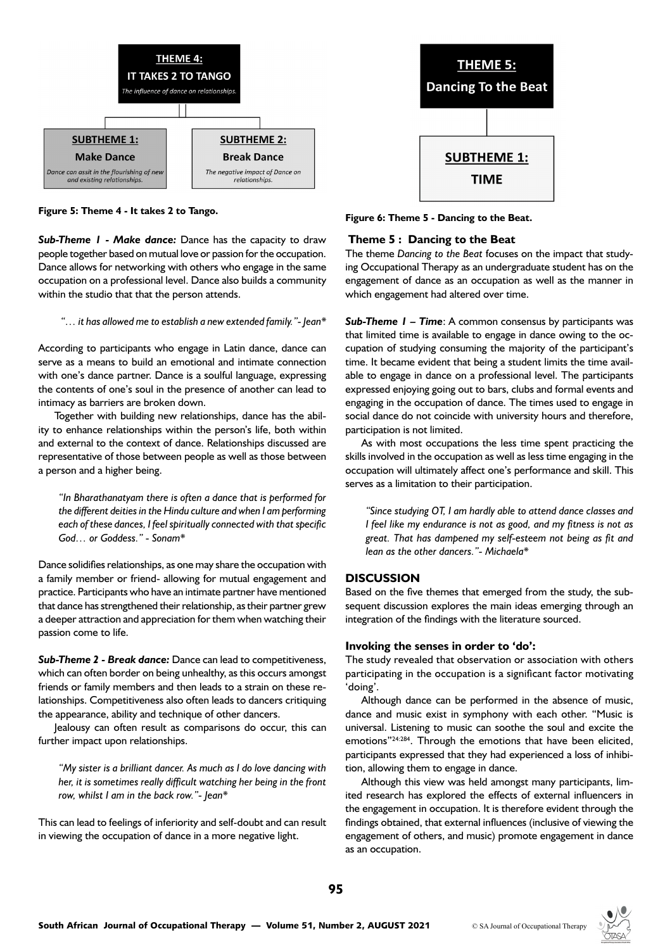

*Sub-Theme 1 - Make dance:* Dance has the capacity to draw people together based on mutual love or passion for the occupation. Dance allows for networking with others who engage in the same occupation on a professional level. Dance also builds a community within the studio that that the person attends.

 *"… it has allowed me to establish a new extended family."- Jean\**

According to participants who engage in Latin dance, dance can serve as a means to build an emotional and intimate connection with one's dance partner. Dance is a soulful language, expressing the contents of one's soul in the presence of another can lead to intimacy as barriers are broken down.

Together with building new relationships, dance has the ability to enhance relationships within the person's life, both within and external to the context of dance. Relationships discussed are representative of those between people as well as those between a person and a higher being.

*"In Bharathanatyam there is often a dance that is performed for the different deities in the Hindu culture and when I am performing each of these dances, I feel spiritually connected with that specific God… or Goddess." - Sonam\**

Dance solidifies relationships, as one may share the occupation with a family member or friend- allowing for mutual engagement and practice. Participants who have an intimate partner have mentioned that dance has strengthened their relationship, as their partner grew a deeper attraction and appreciation for them when watching their passion come to life.

*Sub-Theme 2 - Break dance:* Dance can lead to competitiveness, which can often border on being unhealthy, as this occurs amongst friends or family members and then leads to a strain on these relationships. Competitiveness also often leads to dancers critiquing the appearance, ability and technique of other dancers.

Jealousy can often result as comparisons do occur, this can further impact upon relationships.

*"My sister is a brilliant dancer. As much as I do love dancing with her, it is sometimes really difficult watching her being in the front row, whilst I am in the back row."- Jean\**

This can lead to feelings of inferiority and self-doubt and can result in viewing the occupation of dance in a more negative light.



**Figure 5: Theme 4 - It takes 2 to Tango. Figure 6: Theme 5 - Dancing to the Beat.**

# **Theme 5 : Dancing to the Beat**

The theme *Dancing to the Beat* focuses on the impact that studying Occupational Therapy as an undergraduate student has on the engagement of dance as an occupation as well as the manner in which engagement had altered over time.

*Sub-Theme 1 – Time*: A common consensus by participants was that limited time is available to engage in dance owing to the occupation of studying consuming the majority of the participant's time. It became evident that being a student limits the time available to engage in dance on a professional level. The participants expressed enjoying going out to bars, clubs and formal events and engaging in the occupation of dance. The times used to engage in social dance do not coincide with university hours and therefore, participation is not limited.

As with most occupations the less time spent practicing the skills involved in the occupation as well as less time engaging in the occupation will ultimately affect one's performance and skill. This serves as a limitation to their participation.

*"Since studying OT, I am hardly able to attend dance classes and I feel like my endurance is not as good, and my fitness is not as great. That has dampened my self-esteem not being as fit and lean as the other dancers."- Michaela\**

# **DISCUSSION**

Based on the five themes that emerged from the study, the subsequent discussion explores the main ideas emerging through an integration of the findings with the literature sourced.

#### **Invoking the senses in order to 'do':**

The study revealed that observation or association with others participating in the occupation is a significant factor motivating 'doing'.

Although dance can be performed in the absence of music, dance and music exist in symphony with each other. "Music is universal. Listening to music can soothe the soul and excite the emotions"24:284. Through the emotions that have been elicited, participants expressed that they had experienced a loss of inhibition, allowing them to engage in dance.

Although this view was held amongst many participants, limited research has explored the effects of external influencers in the engagement in occupation. It is therefore evident through the findings obtained, that external influences (inclusive of viewing the engagement of others, and music) promote engagement in dance as an occupation.

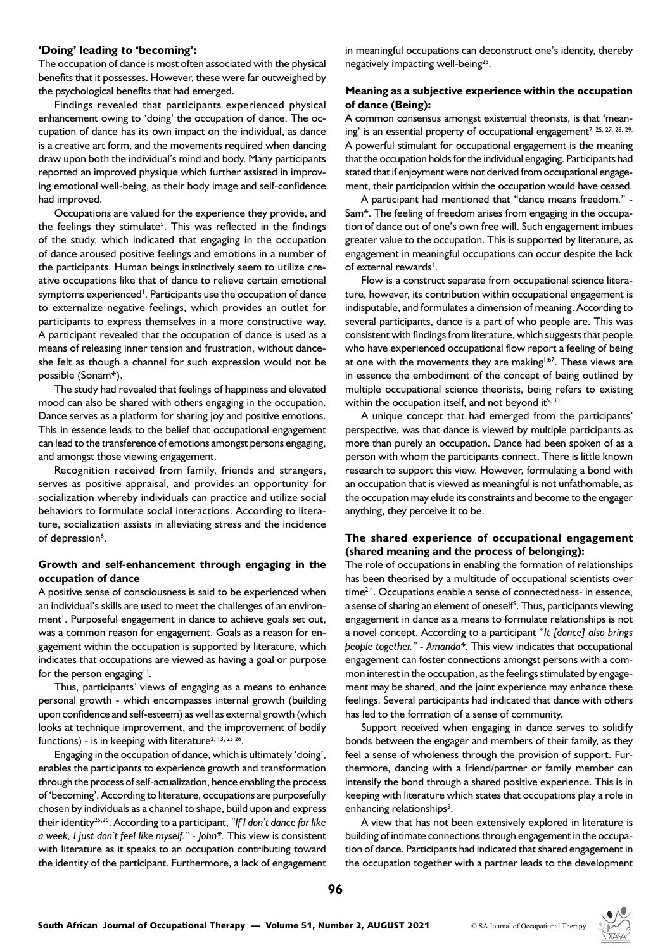#### **'Doing' leading to 'becoming':**

The occupation of dance is most often associated with the physical benefits that it possesses. However, these were far outweighed by the psychological benefits that had emerged.

Findings revealed that participants experienced physical enhancement owing to 'doing' the occupation of dance. The occupation of dance has its own impact on the individual, as dance is a creative art form, and the movements required when dancing draw upon both the individual's mind and body. Many participants reported an improved physique which further assisted in improving emotional well-being, as their body image and self-confidence had improved.

Occupations are valued for the experience they provide, and the feelings they stimulate<sup>5</sup>. This was reflected in the findings of the study, which indicated that engaging in the occupation of dance aroused positive feelings and emotions in a number of the participants. Human beings instinctively seem to utilize creative occupations like that of dance to relieve certain emotional symptoms experienced<sup>1</sup>. Participants use the occupation of dance to externalize negative feelings, which provides an outlet for participants to express themselves in a more constructive way. A participant revealed that the occupation of dance is used as a means of releasing inner tension and frustration, without danceshe felt as though a channel for such expression would not be possible (Sonam\*).

The study had revealed that feelings of happiness and elevated mood can also be shared with others engaging in the occupation. Dance serves as a platform for sharing joy and positive emotions. This in essence leads to the belief that occupational engagement can lead to the transference of emotions amongst persons engaging, and amongst those viewing engagement.

Recognition received from family, friends and strangers, serves as positive appraisal, and provides an opportunity for socialization whereby individuals can practice and utilize social behaviors to formulate social interactions. According to literature, socialization assists in alleviating stress and the incidence of depression<sup>6</sup>.

# **Growth and self-enhancement through engaging in the occupation of dance**

A positive sense of consciousness is said to be experienced when an individual's skills are used to meet the challenges of an environment<sup>1</sup>. Purposeful engagement in dance to achieve goals set out, was a common reason for engagement. Goals as a reason for engagement within the occupation is supported by literature, which indicates that occupations are viewed as having a goal or purpose for the person engaging $13$ .

Thus, participants*'* views of engaging as a means to enhance personal growth - which encompasses internal growth (building upon confidence and self-esteem) as well as external growth (which looks at technique improvement, and the improvement of bodily functions) - is in keeping with literature<sup>2, 13, 25,26</sup>.

Engaging in the occupation of dance, which is ultimately 'doing', enables the participants to experience growth and transformation through the process of self-actualization, hence enabling the process of 'becoming'. According to literature, occupations are purposefully chosen by individuals as a channel to shape, build upon and express their identity25,26. According to a participant, *"If I don't dance for like a week, I just don't feel like myself." - John\*.* This view is consistent with literature as it speaks to an occupation contributing toward the identity of the participant. Furthermore, a lack of engagement in meaningful occupations can deconstruct one's identity, thereby negatively impacting well-being<sup>25</sup>.

# **Meaning as a subjective experience within the occupation of dance (Being):**

A common consensus amongst existential theorists, is that 'meaning' is an essential property of occupational engagement<sup>7, 25, 27, 28, 29.</sup> A powerful stimulant for occupational engagement is the meaning that the occupation holds for the individual engaging. Participants had stated that if enjoyment were not derived from occupational engagement, their participation within the occupation would have ceased.

A participant had mentioned that "dance means freedom." - Sam\*. The feeling of freedom arises from engaging in the occupation of dance out of one's own free will. Such engagement imbues greater value to the occupation. This is supported by literature, as engagement in meaningful occupations can occur despite the lack of external rewards<sup>1</sup>.

Flow is a construct separate from occupational science literature, however, its contribution within occupational engagement is indisputable, and formulates a dimension of meaning. According to several participants, dance is a part of who people are. This was consistent with findings from literature, which suggests that people who have experienced occupational flow report a feeling of being at one with the movements they are making<sup>1:67</sup>. These views are in essence the embodiment of the concept of being outlined by multiple occupational science theorists, being refers to existing within the occupation itself, and not beyond it<sup>5, 30.</sup>

A unique concept that had emerged from the participants' perspective, was that dance is viewed by multiple participants as more than purely an occupation. Dance had been spoken of as a person with whom the participants connect. There is little known research to support this view. However, formulating a bond with an occupation that is viewed as meaningful is not unfathomable, as the occupation may elude its constraints and become to the engager anything, they perceive it to be.

# **The shared experience of occupational engagement (shared meaning and the process of belonging):**

The role of occupations in enabling the formation of relationships has been theorised by a multitude of occupational scientists over time<sup>2,4</sup>. Occupations enable a sense of connectedness- in essence, a sense of sharing an element of oneself<sup>5</sup>. Thus, participants viewing engagement in dance as a means to formulate relationships is not a novel concept. According to a participant *"It [dance] also brings people together." - Amanda\*.* This view indicates that occupational engagement can foster connections amongst persons with a common interest in the occupation, as the feelings stimulated by engagement may be shared, and the joint experience may enhance these feelings. Several participants had indicated that dance with others has led to the formation of a sense of community.

Support received when engaging in dance serves to solidify bonds between the engager and members of their family, as they feel a sense of wholeness through the provision of support. Furthermore, dancing with a friend/partner or family member can intensify the bond through a shared positive experience. This is in keeping with literature which states that occupations play a role in enhancing relationships<sup>5</sup>.

A view that has not been extensively explored in literature is building of intimate connections through engagement in the occupation of dance. Participants had indicated that shared engagement in the occupation together with a partner leads to the development

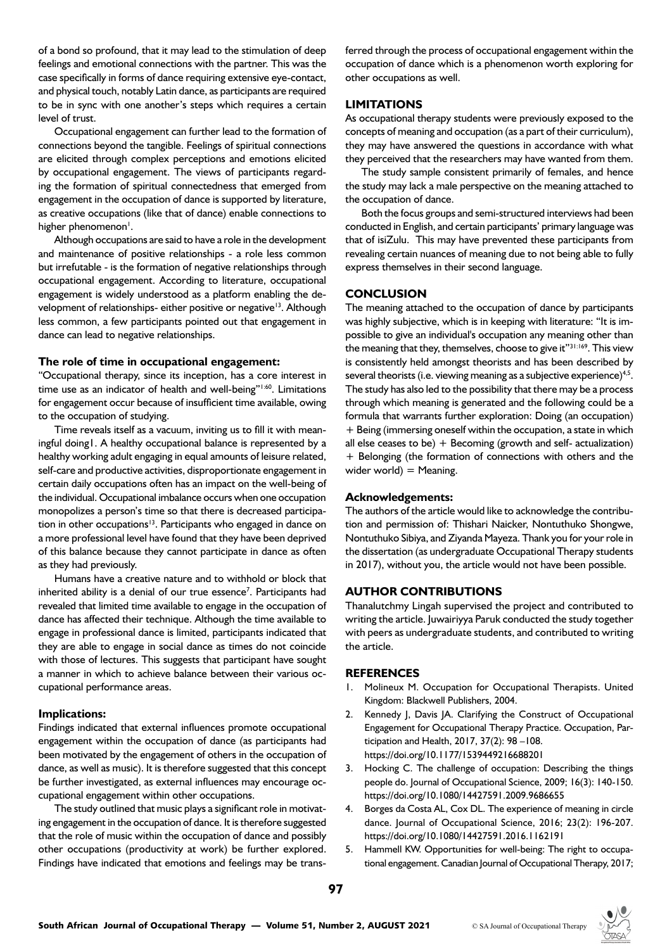of a bond so profound, that it may lead to the stimulation of deep feelings and emotional connections with the partner. This was the case specifically in forms of dance requiring extensive eye-contact, and physical touch, notably Latin dance, as participants are required to be in sync with one another's steps which requires a certain level of trust.

Occupational engagement can further lead to the formation of connections beyond the tangible. Feelings of spiritual connections are elicited through complex perceptions and emotions elicited by occupational engagement. The views of participants regarding the formation of spiritual connectedness that emerged from engagement in the occupation of dance is supported by literature, as creative occupations (like that of dance) enable connections to higher phenomenon<sup>1</sup>.

Although occupations are said to have a role in the development and maintenance of positive relationships - a role less common but irrefutable - is the formation of negative relationships through occupational engagement. According to literature, occupational engagement is widely understood as a platform enabling the development of relationships- either positive or negative<sup>13</sup>. Although less common, a few participants pointed out that engagement in dance can lead to negative relationships.

## **The role of time in occupational engagement:**

"Occupational therapy, since its inception, has a core interest in time use as an indicator of health and well-being"<sup>1:60</sup>. Limitations for engagement occur because of insufficient time available, owing to the occupation of studying.

Time reveals itself as a vacuum, inviting us to fill it with meaningful doing1. A healthy occupational balance is represented by a healthy working adult engaging in equal amounts of leisure related, self-care and productive activities, disproportionate engagement in certain daily occupations often has an impact on the well-being of the individual. Occupational imbalance occurs when one occupation monopolizes a person's time so that there is decreased participation in other occupations $13$ . Participants who engaged in dance on a more professional level have found that they have been deprived of this balance because they cannot participate in dance as often as they had previously.

Humans have a creative nature and to withhold or block that inherited ability is a denial of our true essence<sup>7</sup>. Participants had revealed that limited time available to engage in the occupation of dance has affected their technique. Although the time available to engage in professional dance is limited, participants indicated that they are able to engage in social dance as times do not coincide with those of lectures. This suggests that participant have sought a manner in which to achieve balance between their various occupational performance areas.

#### **Implications:**

Findings indicated that external influences promote occupational engagement within the occupation of dance (as participants had been motivated by the engagement of others in the occupation of dance, as well as music). It is therefore suggested that this concept be further investigated, as external influences may encourage occupational engagement within other occupations.

The study outlined that music plays a significant role in motivating engagement in the occupation of dance. It is therefore suggested that the role of music within the occupation of dance and possibly other occupations (productivity at work) be further explored. Findings have indicated that emotions and feelings may be transferred through the process of occupational engagement within the occupation of dance which is a phenomenon worth exploring for other occupations as well.

# **LIMITATIONS**

As occupational therapy students were previously exposed to the concepts of meaning and occupation (as a part of their curriculum), they may have answered the questions in accordance with what they perceived that the researchers may have wanted from them.

The study sample consistent primarily of females, and hence the study may lack a male perspective on the meaning attached to the occupation of dance.

Both the focus groups and semi-structured interviews had been conducted in English, and certain participants' primary language was that of isiZulu. This may have prevented these participants from revealing certain nuances of meaning due to not being able to fully express themselves in their second language.

## **CONCLUSION**

The meaning attached to the occupation of dance by participants was highly subjective, which is in keeping with literature: "It is impossible to give an individual's occupation any meaning other than the meaning that they, themselves, choose to give it"31:169. This view is consistently held amongst theorists and has been described by several theorists (i.e. viewing meaning as a subjective experience)<sup>4,5</sup>. The study has also led to the possibility that there may be a process through which meaning is generated and the following could be a formula that warrants further exploration: Doing (an occupation) + Being (immersing oneself within the occupation, a state in which all else ceases to be)  $+$  Becoming (growth and self- actualization) + Belonging (the formation of connections with others and the wider world)  $=$  Meaning.

#### **Acknowledgements:**

The authors of the article would like to acknowledge the contribution and permission of: Thishari Naicker, Nontuthuko Shongwe, Nontuthuko Sibiya, and Ziyanda Mayeza. Thank you for your role in the dissertation (as undergraduate Occupational Therapy students in 2017), without you, the article would not have been possible.

## **AUTHOR CONTRIBUTIONS**

Thanalutchmy Lingah supervised the project and contributed to writing the article. Juwairiyya Paruk conducted the study together with peers as undergraduate students, and contributed to writing the article.

# **REFERENCES**

- 1. Molineux M. Occupation for Occupational Therapists. United Kingdom: Blackwell Publishers, 2004.
- 2. Kennedy J, Davis JA. Clarifying the Construct of Occupational Engagement for Occupational Therapy Practice. Occupation, Participation and Health, 2017, 37(2): 98 –108. https://doi.org/10.1177/1539449216688201
- 3. Hocking C. The challenge of occupation: Describing the things people do. Journal of Occupational Science, 2009; 16(3): 140-150. https://doi.org/10.1080/14427591.2009.9686655
- 4. Borges da Costa AL, Cox DL. The experience of meaning in circle dance. Journal of Occupational Science, 2016; 23(2): 196-207. https://doi.org/10.1080/14427591.2016.1162191
- 5. Hammell KW. Opportunities for well-being: The right to occupational engagement. Canadian Journal of Occupational Therapy, 2017;